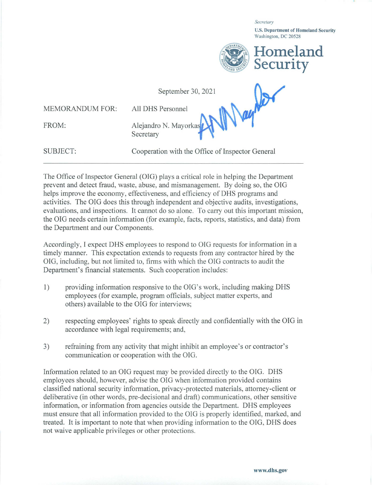*Secretary* 

**U.S. Department of Homeland Security**  Washington, DC 20528



September 30, 2021

MEMORANDUM FOR:

All DHS Personnel **www.iii.com/2000** 

FROM:

Alejandro N. Mayorkas Secretary

SUBJECT:

Cooperation with the Office of Inspector General

The Office of Inspector General (OIG) plays a critical role in helping the Department prevent and detect fraud, waste, abuse, and mismanagement. By doing so, the OIG helps improve the economy, effectiveness, and efficiency of DHS programs and activities. The OIG does this through independent and objective audits, investigations, evaluations, and inspections. It cannot do so alone. To carry out this important mission, the OIG needs certain information (for example, facts, reports, statistics, and data) from the Department and our Components.

Accordingly, I expect DHS employees to respond to OIG requests for information in a timely manner. This expectation extends to requests from any contractor hired by the OIG, including, but not limited to, firms with which the OIG contracts to audit the Department's financial statements. Such cooperation includes:

- 1) providing information responsive to the OIG's work, including making DHS employees (for example, program officials, subject matter experts, and others) available to the OIG for interviews;
- 2) respecting employees' rights to speak directly and confidentially with the OIG in accordance with legal requirements; and,
- 3) refraining from any activity that might inhibit an employee's or contractor's communication or cooperation with the OIG.

Information related to an OIG request may be provided directly to the OIG. DHS employees should, however, advise the OIG when information provided contains classified national security information, privacy-protected materials, attorney-client or deliberative (in other words, pre-decisional and draft) communications, other sensitive information, or information from agencies outside the Department. DHS employees must ensure that all information provided to the OIG is properly identified, marked, and treated. It is important to note that when providing information to the OIG, DHS does not waive applicable privileges or other protections.